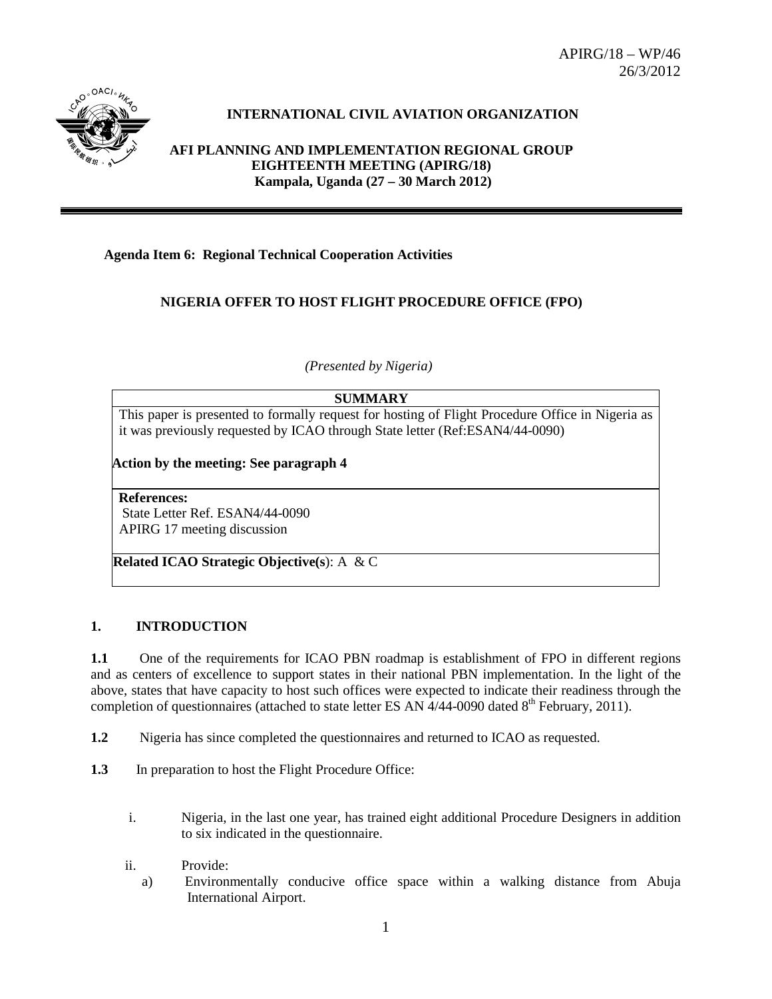APIRG/18 – WP/46 26/3/2012



# **INTERNATIONAL CIVIL AVIATION ORGANIZATION**

**AFI PLANNING AND IMPLEMENTATION REGIONAL GROUP EIGHTEENTH MEETING (APIRG/18) Kampala, Uganda (27 – 30 March 2012)**

#### **Agenda Item 6: Regional Technical Cooperation Activities**

### **NIGERIA OFFER TO HOST FLIGHT PROCEDURE OFFICE (FPO)**

*(Presented by Nigeria)*

### **SUMMARY**

This paper is presented to formally request for hosting of Flight Procedure Office in Nigeria as it was previously requested by ICAO through State letter (Ref:ESAN4/44-0090)

**Action by the meeting: See paragraph 4**

**References:** State Letter Ref. ESAN4/44-0090 APIRG 17 meeting discussion

**Related ICAO Strategic Objective(s**): A & C

#### **1. INTRODUCTION**

**1.1** One of the requirements for ICAO PBN roadmap is establishment of FPO in different regions and as centers of excellence to support states in their national PBN implementation. In the light of the above, states that have capacity to host such offices were expected to indicate their readiness through the completion of questionnaires (attached to state letter ES AN  $4/44$ -0090 dated 8<sup>th</sup> February, 2011).

- **1.2** Nigeria has since completed the questionnaires and returned to ICAO as requested.
- **1.3** In preparation to host the Flight Procedure Office:
	- i. Nigeria, in the last one year, has trained eight additional Procedure Designers in addition to six indicated in the questionnaire.
	- ii. Provide:
		- a) Environmentally conducive office space within a walking distance from Abuja International Airport.